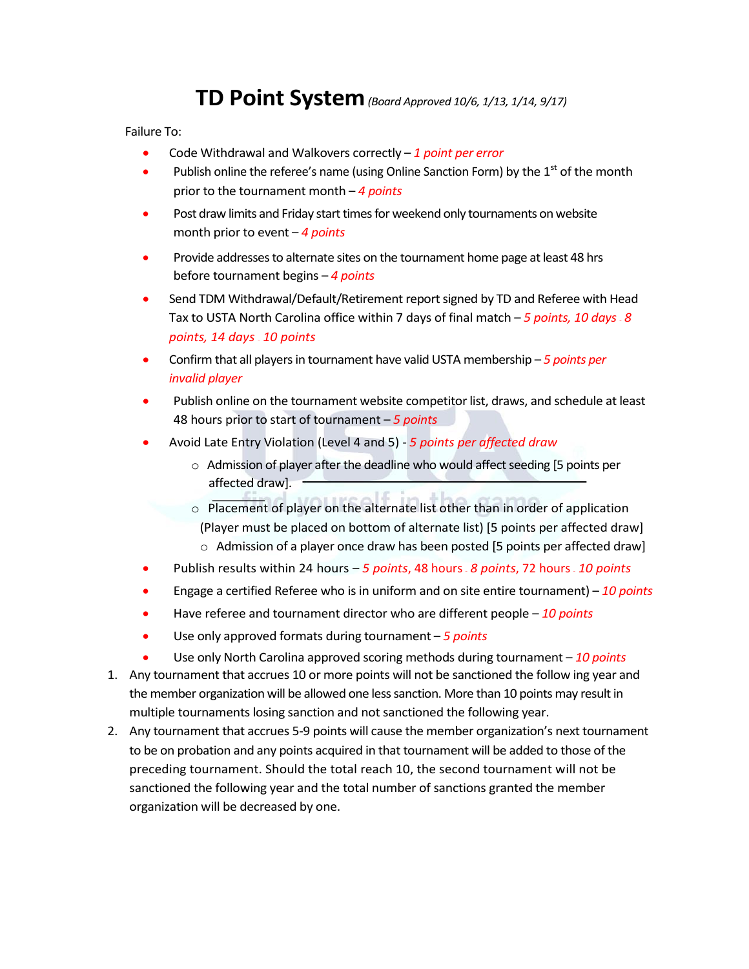## **TD Point System***(Board Approved 10/6, 1/13, 1/14, 9/17)*

Failure To:

- Code Withdrawal and Walkovers correctly *1 point per error*
- Publish online the referee's name (using Online Sanction Form) by the  $1<sup>st</sup>$  of the month prior to the tournament month – *4 points*
- Post draw limits and Friday start times for weekend only tournaments on website month prior to event – *4 points*
- Provide addresses to alternate sites on the tournament home page at least 48 hrs before tournament begins – *4 points*
- Send TDM Withdrawal/Default/Retirement report signed by TD and Referee with Head Tax to USTA North Carolina office within 7 days of final match – *5 points, 10 days – 8 points, 14 days – 10 points*
- Confirm that all players in tournament have valid USTA membership *5 points per invalid player*
- Publish online on the tournament website competitor list, draws, and schedule at least 48 hours prior to start of tournament – *5 points*
- Avoid Late Entry Violation (Level 4 and 5) *5 points per affected draw*
	- o Admission of player after the deadline who would affect seeding [5 points per affected draw].
	- o Placement of player on the alternate list other than in order of application (Player must be placed on bottom of alternate list) [5 points per affected draw]  $\circ$  Admission of a player once draw has been posted [5 points per affected draw]
- Publish results within 24 hours *5 points*, 48 hours *8 points*, 72 hours *10 points*
- Engage a certified Referee who is in uniform and on site entire tournament) *10 points*
- Have referee and tournament director who are different people *10 points*
- Use only approved formats during tournament *5 points*
- Use only North Carolina approved scoring methods during tournament *10 points*
- 1. Any tournament that accrues 10 or more points will not be sanctioned the follow ing year and the member organization will be allowed one less sanction. More than 10 points may result in multiple tournaments losing sanction and not sanctioned the following year.
- 2. Any tournament that accrues 5-9 points will cause the member organization's next tournament to be on probation and any points acquired in that tournament will be added to those of the preceding tournament. Should the total reach 10, the second tournament will not be sanctioned the following year and the total number of sanctions granted the member organization will be decreased by one.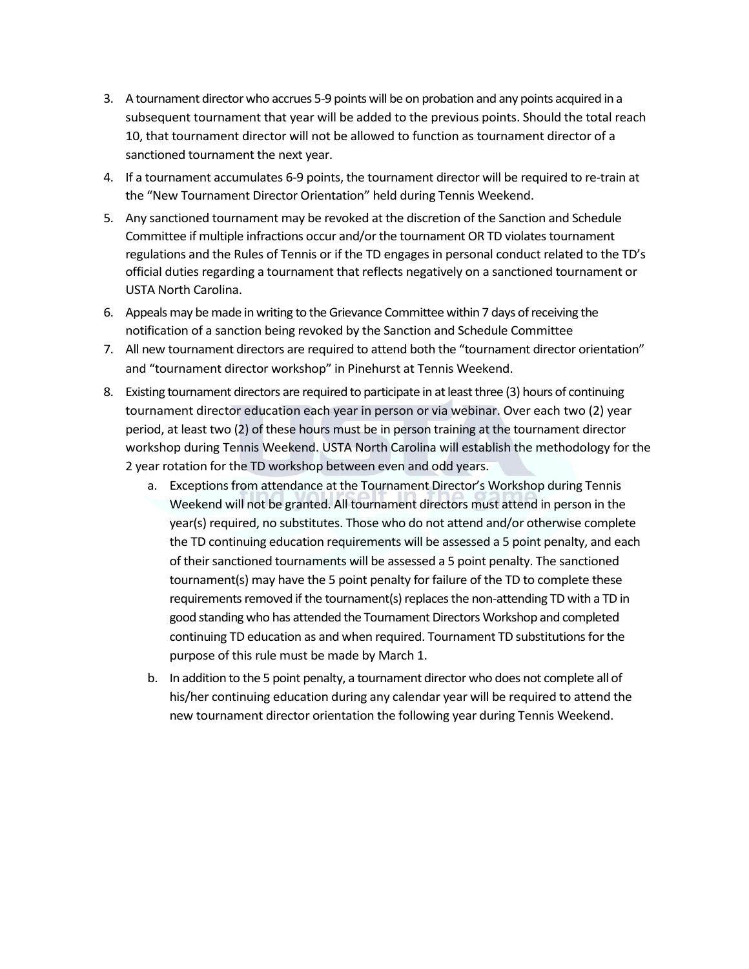- 3. A tournament director who accrues 5-9 points will be on probation and any points acquired in a subsequent tournament that year will be added to the previous points. Should the total reach 10, that tournament director will not be allowed to function as tournament director of a sanctioned tournament the next year.
- 4. If a tournament accumulates 6-9 points, the tournament director will be required to re-train at the "New Tournament Director Orientation" held during Tennis Weekend.
- 5. Any sanctioned tournament may be revoked at the discretion of the Sanction and Schedule Committee if multiple infractions occur and/or the tournament OR TD violates tournament regulations and the Rules of Tennis or if the TD engages in personal conduct related to the TD's official duties regarding a tournament that reflects negatively on a sanctioned tournament or USTA North Carolina.
- 6. Appeals may be made in writing to the Grievance Committee within 7 days of receiving the notification of a sanction being revoked by the Sanction and Schedule Committee
- 7. All new tournament directors are required to attend both the "tournament director orientation" and "tournament director workshop" in Pinehurst at Tennis Weekend.
- 8. Existing tournament directors are required to participate in at least three (3) hours of continuing tournament director education each year in person or via webinar. Over each two (2) year period, at least two (2) of these hours must be in person training at the tournament director workshop during Tennis Weekend. USTA North Carolina will establish the methodology for the 2 year rotation for the TD workshop between even and odd years.
	- a. Exceptions from attendance at the Tournament Director's Workshop during Tennis Weekend will not be granted. All tournament directors must attend in person in the year(s) required, no substitutes. Those who do not attend and/or otherwise complete the TD continuing education requirements will be assessed a 5 point penalty, and each of their sanctioned tournaments will be assessed a 5 point penalty. The sanctioned tournament(s) may have the 5 point penalty for failure of the TD to complete these requirements removed if the tournament(s) replaces the non-attending TD with a TD in good standing who has attended the Tournament Directors Workshop and completed continuing TD education as and when required. Tournament TD substitutions for the purpose of this rule must be made by March 1.
	- b. In addition to the 5 point penalty, a tournament director who does not complete all of his/her continuing education during any calendar year will be required to attend the new tournament director orientation the following year during Tennis Weekend.